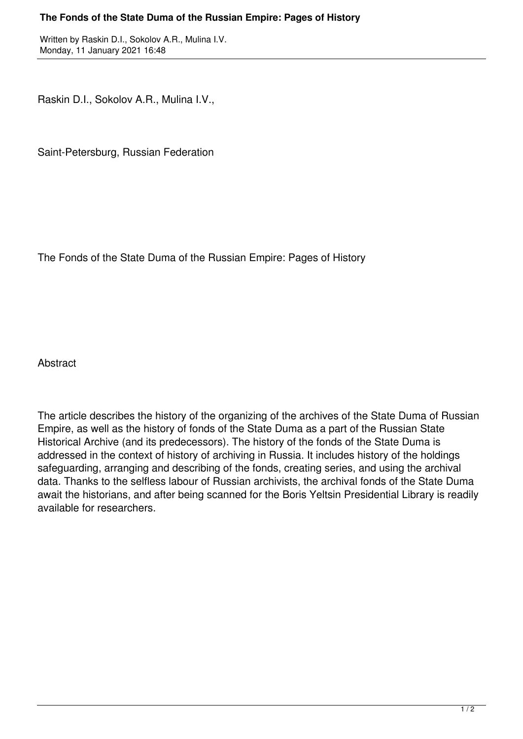## **The Fonds of the State Duma of the Russian Empire: Pages of History**

Written by Raskin D.I., Sokolov A.R., Mulina I.V. Monday, 11 January 2021 16:48

Raskin D.I., Sokolov A.R., Mulina I.V.,

Saint-Petersburg, Russian Federation

The Fonds of the State Duma of the Russian Empire: Pages of History

**Abstract** 

The article describes the history of the organizing of the archives of the State Duma of Russian Empire, as well as the history of fonds of the State Duma as a part of the Russian State Historical Archive (and its predecessors). The history of the fonds of the State Duma is addressed in the context of history of archiving in Russia. It includes history of the holdings safeguarding, arranging and describing of the fonds, creating series, and using the archival data. Thanks to the selfless labour of Russian archivists, the archival fonds of the State Duma await the historians, and after being scanned for the Boris Yeltsin Presidential Library is readily available for researchers.